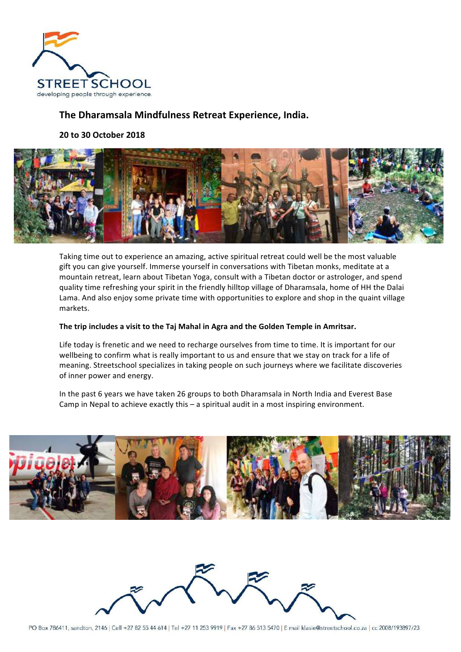

# **The Dharamsala Mindfulness Retreat Experience, India.**

**20 to 30 October 2018**



Taking time out to experience an amazing, active spiritual retreat could well be the most valuable gift you can give yourself. Immerse yourself in conversations with Tibetan monks, meditate at a mountain retreat, learn about Tibetan Yoga, consult with a Tibetan doctor or astrologer, and spend quality time refreshing your spirit in the friendly hilltop village of Dharamsala, home of HH the Dalai Lama. And also enjoy some private time with opportunities to explore and shop in the quaint village markets.

### The trip includes a visit to the Taj Mahal in Agra and the Golden Temple in Amritsar.

Life today is frenetic and we need to recharge ourselves from time to time. It is important for our wellbeing to confirm what is really important to us and ensure that we stay on track for a life of meaning. Streetschool specializes in taking people on such journeys where we facilitate discoveries of inner power and energy.

In the past 6 years we have taken 26 groups to both Dharamsala in North India and Everest Base Camp in Nepal to achieve exactly this – a spiritual audit in a most inspiring environment.



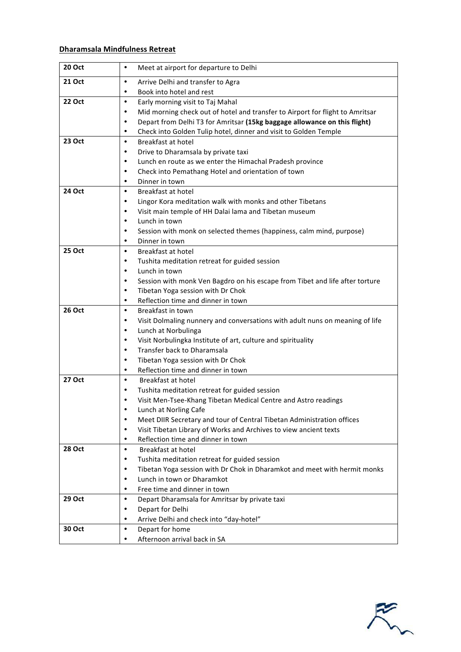# **Dharamsala Mindfulness Retreat**

| <b>20 Oct</b> | Meet at airport for departure to Delhi<br>$\bullet$                                                                                                      |
|---------------|----------------------------------------------------------------------------------------------------------------------------------------------------------|
| 21 Oct        | Arrive Delhi and transfer to Agra<br>$\bullet$                                                                                                           |
|               | Book into hotel and rest<br>$\bullet$                                                                                                                    |
| 22 Oct        | Early morning visit to Taj Mahal<br>$\bullet$                                                                                                            |
|               | Mid morning check out of hotel and transfer to Airport for flight to Amritsar<br>٠                                                                       |
|               | Depart from Delhi T3 for Amritsar (15kg baggage allowance on this flight)<br>$\bullet$                                                                   |
|               | Check into Golden Tulip hotel, dinner and visit to Golden Temple<br>٠                                                                                    |
| 23 Oct        | Breakfast at hotel<br>$\bullet$                                                                                                                          |
|               | Drive to Dharamsala by private taxi<br>$\bullet$                                                                                                         |
|               | Lunch en route as we enter the Himachal Pradesh province<br>٠                                                                                            |
|               | Check into Pemathang Hotel and orientation of town<br>$\bullet$                                                                                          |
|               | Dinner in town<br>٠                                                                                                                                      |
| <b>24 Oct</b> | Breakfast at hotel<br>$\bullet$                                                                                                                          |
|               | Lingor Kora meditation walk with monks and other Tibetans<br>$\bullet$                                                                                   |
|               | Visit main temple of HH Dalai lama and Tibetan museum<br>$\bullet$                                                                                       |
|               | Lunch in town<br>$\bullet$                                                                                                                               |
|               | Session with monk on selected themes (happiness, calm mind, purpose)<br>$\bullet$                                                                        |
|               | Dinner in town<br>$\bullet$                                                                                                                              |
| 25 Oct        | Breakfast at hotel<br>$\bullet$                                                                                                                          |
|               | Tushita meditation retreat for guided session<br>٠                                                                                                       |
|               | Lunch in town<br>$\bullet$                                                                                                                               |
|               | Session with monk Ven Bagdro on his escape from Tibet and life after torture<br>$\bullet$                                                                |
|               | Tibetan Yoga session with Dr Chok<br>٠                                                                                                                   |
|               | Reflection time and dinner in town<br>$\bullet$                                                                                                          |
| 26 Oct        | Breakfast in town<br>$\bullet$                                                                                                                           |
|               | Visit Dolmaling nunnery and conversations with adult nuns on meaning of life<br>$\bullet$                                                                |
|               | Lunch at Norbulinga<br>٠                                                                                                                                 |
|               | Visit Norbulingka Institute of art, culture and spirituality<br>$\bullet$                                                                                |
|               | Transfer back to Dharamsala<br>$\bullet$                                                                                                                 |
|               | Tibetan Yoga session with Dr Chok<br>$\bullet$                                                                                                           |
|               | Reflection time and dinner in town<br>$\bullet$                                                                                                          |
| 27 Oct        | Breakfast at hotel<br>$\bullet$                                                                                                                          |
|               | Tushita meditation retreat for guided session<br>٠                                                                                                       |
|               | Visit Men-Tsee-Khang Tibetan Medical Centre and Astro readings<br>$\bullet$                                                                              |
|               | Lunch at Norling Cafe<br>$\bullet$                                                                                                                       |
|               | Meet DIIR Secretary and tour of Central Tibetan Administration offices<br>Visit Tibetan Library of Works and Archives to view ancient texts<br>$\bullet$ |
|               | Reflection time and dinner in town<br>٠                                                                                                                  |
| <b>28 Oct</b> | $\bullet$<br>Breakfast at hotel                                                                                                                          |
|               | Tushita meditation retreat for guided session<br>$\bullet$                                                                                               |
|               | Tibetan Yoga session with Dr Chok in Dharamkot and meet with hermit monks<br>٠                                                                           |
|               | Lunch in town or Dharamkot<br>$\bullet$                                                                                                                  |
|               | Free time and dinner in town<br>٠                                                                                                                        |
| 29 Oct        | Depart Dharamsala for Amritsar by private taxi<br>$\bullet$                                                                                              |
|               | Depart for Delhi<br>$\bullet$                                                                                                                            |
|               | Arrive Delhi and check into "day-hotel"<br>$\bullet$                                                                                                     |
| 30 Oct        | $\bullet$<br>Depart for home                                                                                                                             |
|               | Afternoon arrival back in SA<br>٠                                                                                                                        |
|               |                                                                                                                                                          |